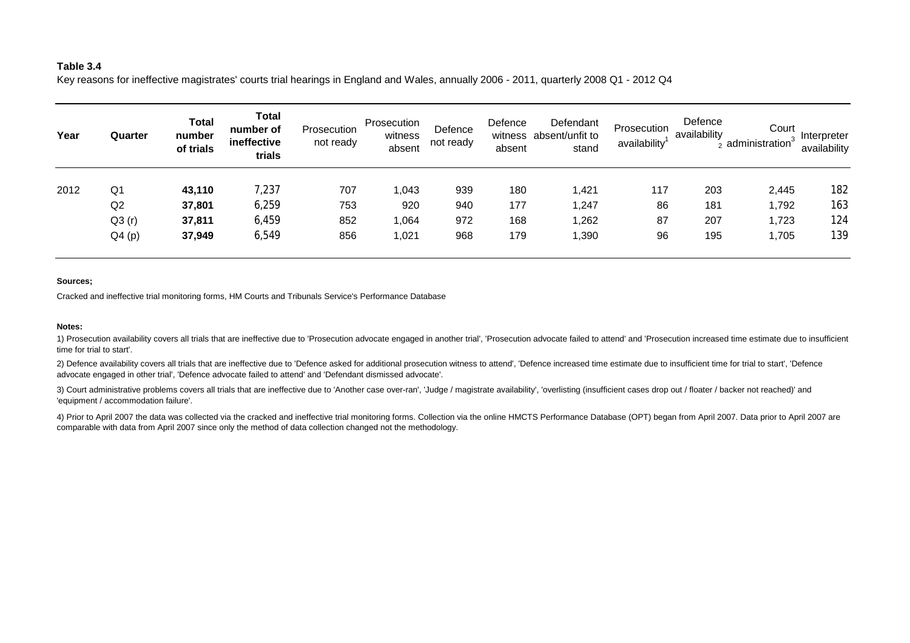# **Table 3.4**

Key reasons for ineffective magistrates' courts trial hearings in England and Wales, annually 2006 - 2011, quarterly 2008 Q1 - 2012 Q4

| Year | Quarter | <b>Total</b><br>number<br>of trials | Total<br>number of<br>ineffective<br>trials | Prosecution<br>not ready | Prosecution<br>witness<br>absent | Defence<br>not ready | Defence<br>absent | Defendant<br>witness absent/unfit to<br>stand | Prosecution<br>availability | Defence<br>availability | Court<br>administration <sup>3</sup> | Interpreter<br>availability |
|------|---------|-------------------------------------|---------------------------------------------|--------------------------|----------------------------------|----------------------|-------------------|-----------------------------------------------|-----------------------------|-------------------------|--------------------------------------|-----------------------------|
| 2012 | Q1      | 43,110                              | 7,237                                       | 707                      | 1,043                            | 939                  | 180               | 1,421                                         | 117                         | 203                     | 2,445                                | 182                         |
|      | Q2      | 37,801                              | 6,259                                       | 753                      | 920                              | 940                  | 177               | 1,247                                         | 86                          | 181                     | 1,792                                | 163                         |
|      | Q3(r)   | 37,811                              | 6,459                                       | 852                      | 1,064                            | 972                  | 168               | 1,262                                         | 87                          | 207                     | 1,723                                | 124                         |
|      | Q4(p)   | 37,949                              | 6,549                                       | 856                      | 1,021                            | 968                  | 179               | 1,390                                         | 96                          | 195                     | 1,705                                | 139                         |

## **Sources;**

Cracked and ineffective trial monitoring forms, HM Courts and Tribunals Service's Performance Database

### **Notes:**

1) Prosecution availability covers all trials that are ineffective due to 'Prosecution advocate engaged in another trial', 'Prosecution advocate failed to attend' and 'Prosecution increased time estimate due to insufficient time for trial to start'.

2) Defence availability covers all trials that are ineffective due to 'Defence asked for additional prosecution witness to attend', 'Defence increased time estimate due to insufficient time for trial to start', 'Defence advocate engaged in other trial', 'Defence advocate failed to attend' and 'Defendant dismissed advocate'.

3) Court administrative problems covers all trials that are ineffective due to 'Another case over-ran', 'Judge / magistrate availability', 'overlisting (insufficient cases drop out / floater / backer not reached)' and 'equipment / accommodation failure'.

4) Prior to April 2007 the data was collected via the cracked and ineffective trial monitoring forms. Collection via the online HMCTS Performance Database (OPT) began from April 2007. Data prior to April 2007 are comparable with data from April 2007 since only the method of data collection changed not the methodology.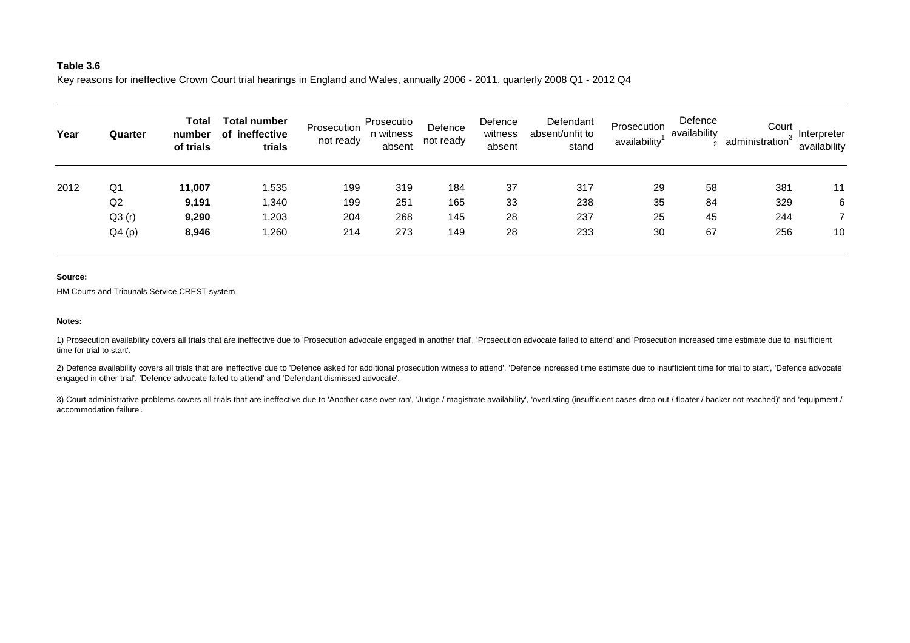# **Table 3.6**

Key reasons for ineffective Crown Court trial hearings in England and Wales, annually 2006 - 2011, quarterly 2008 Q1 - 2012 Q4

| Year | Quarter | Total<br>number<br>of trials | Total number<br>of ineffective<br>trials | Prosecution<br>not ready | Prosecutio<br>n witness<br>absent | Defence<br>not ready | Defence<br>witness<br>absent | Defendant<br>absent/unfit to<br>stand | Prosecution<br>availability | Defence<br>availability | Court<br>administration <sup>3</sup> | Interpreter<br>availability |
|------|---------|------------------------------|------------------------------------------|--------------------------|-----------------------------------|----------------------|------------------------------|---------------------------------------|-----------------------------|-------------------------|--------------------------------------|-----------------------------|
| 2012 | Q1      | 11,007                       | 1,535                                    | 199                      | 319                               | 184                  | 37                           | 317                                   | 29                          | 58                      | 381                                  | 11                          |
|      | Q2      | 9,191                        | 1,340                                    | 199                      | 251                               | 165                  | 33                           | 238                                   | 35                          | 84                      | 329                                  | 6                           |
|      | Q3(r)   | 9,290                        | 1,203                                    | 204                      | 268                               | 145                  | 28                           | 237                                   | 25                          | 45                      | 244                                  |                             |
|      | Q4(p)   | 8,946                        | 1,260                                    | 214                      | 273                               | 149                  | 28                           | 233                                   | 30                          | 67                      | 256                                  | 10                          |

#### **Source:**

HM Courts and Tribunals Service CREST system

#### **Notes:**

1) Prosecution availability covers all trials that are ineffective due to 'Prosecution advocate engaged in another trial', 'Prosecution advocate failed to attend' and 'Prosecution increased time estimate due to insufficient time for trial to start'.

2) Defence availability covers all trials that are ineffective due to 'Defence asked for additional prosecution witness to attend', 'Defence increased time estimate due to insufficient time for trial to start', 'Defence ad engaged in other trial', 'Defence advocate failed to attend' and 'Defendant dismissed advocate'.

3) Court administrative problems covers all trials that are ineffective due to 'Another case over-ran', 'Judge / magistrate availability', 'overlisting (insufficient cases drop out / floater / backer not reached)' and 'equ accommodation failure'.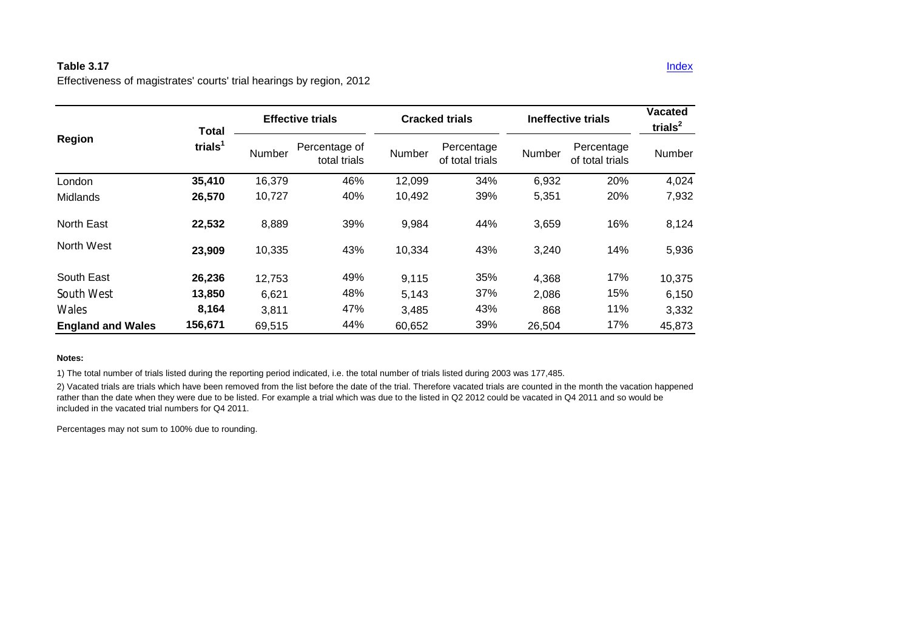# **Table 3.17** Index **Index 2.0 Index 2.0 Index 2.0 Index 2.0 Index 2.0 Index 2.0 Index 2.0 Index 2.0 Index 2.0 Index**

Effectiveness of magistrates' courts' trial hearings by region, 2012

|                          | <b>Total</b>        |        | <b>Effective trials</b>       |        | <b>Cracked trials</b>         | Ineffective trials | <b>Vacated</b><br>trials $2$  |        |
|--------------------------|---------------------|--------|-------------------------------|--------|-------------------------------|--------------------|-------------------------------|--------|
| Region                   | trials <sup>1</sup> | Number | Percentage of<br>total trials | Number | Percentage<br>of total trials | Number             | Percentage<br>of total trials | Number |
| London                   | 35,410              | 16,379 | 46%                           | 12,099 | 34%                           | 6,932              | 20%                           | 4,024  |
| Midlands                 | 26,570              | 10,727 | 40%                           | 10,492 | 39%                           | 5,351              | 20%                           | 7,932  |
| North East               | 22,532              | 8,889  | 39%                           | 9,984  | 44%                           | 3,659              | 16%                           | 8,124  |
| North West               | 23,909              | 10,335 | 43%                           | 10,334 | 43%                           | 3,240              | 14%                           | 5,936  |
| South East               | 26,236              | 12,753 | 49%                           | 9,115  | 35%                           | 4,368              | 17%                           | 10,375 |
| South West               | 13,850              | 6,621  | 48%                           | 5,143  | 37%                           | 2,086              | 15%                           | 6,150  |
| Wales                    | 8,164               | 3,811  | 47%                           | 3,485  | 43%                           | 868                | 11%                           | 3,332  |
| <b>England and Wales</b> | 156,671             | 69,515 | 44%                           | 60,652 | 39%                           | 26,504             | 17%                           | 45,873 |

## **Notes:**

1) The total number of trials listed during the reporting period indicated, i.e. the total number of trials listed during 2003 was 177,485.

2) Vacated trials are trials which have been removed from the list before the date of the trial. Therefore vacated trials are counted in the month the vacation happened rather than the date when they were due to be listed. For example a trial which was due to the listed in Q2 2012 could be vacated in Q4 2011 and so would be included in the vacated trial numbers for Q4 2011.

Percentages may not sum to 100% due to rounding.